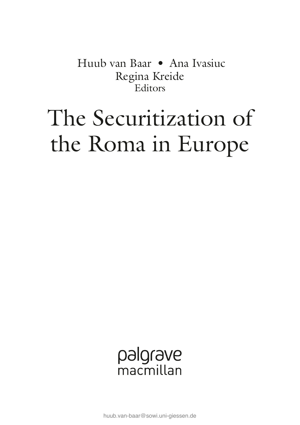Huub van Baar • Ana Ivasiuc Regina Kreide Editors

# The Securitization of the Roma in Europe



huub.van-baar@sowi.uni-giessen.de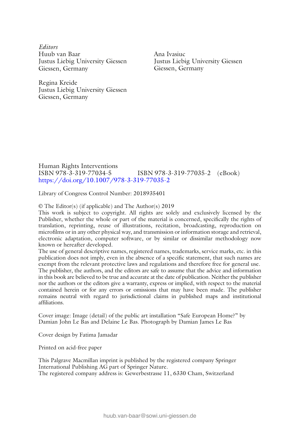*Editors* Huub van Baar Justus Liebig University Giessen Giessen, Germany

Ana Ivasiuc Justus Liebig University Giessen Giessen, Germany

Regina Kreide Justus Liebig University Giessen Giessen, Germany

#### Human Rights Interventions<br>ISBN 978-3-319-77034-5 ISBN 978-3-319-77035-2 (eBook) <https://doi.org/10.1007/978-3-319-77035-2>

Library of Congress Control Number: 2018935401

© The Editor(s) (if applicable) and The Author(s) 2019

This work is subject to copyright. All rights are solely and exclusively licensed by the Publisher, whether the whole or part of the material is concerned, specifically the rights of translation, reprinting, reuse of illustrations, recitation, broadcasting, reproduction on microfilms or in any other physical way, and transmission or information storage and retrieval, electronic adaptation, computer software, or by similar or dissimilar methodology now known or hereafter developed.

The use of general descriptive names, registered names, trademarks, service marks, etc. in this publication does not imply, even in the absence of a specific statement, that such names are exempt from the relevant protective laws and regulations and therefore free for general use. The publisher, the authors, and the editors are safe to assume that the advice and information in this book are believed to be true and accurate at the date of publication. Neither the publisher nor the authors or the editors give a warranty, express or implied, with respect to the material contained herein or for any errors or omissions that may have been made. The publisher remains neutral with regard to jurisdictional claims in published maps and institutional affiliations.

Cover image: Image (detail) of the public art installation "Safe European Home?" by Damian John Le Bas and Delaine Le Bas. Photograph by Damian James Le Bas

Cover design by Fatima Jamadar

Printed on acid-free paper

This Palgrave Macmillan imprint is published by the registered company Springer International Publishing AG part of Springer Nature. The registered company address is: Gewerbestrasse 11, 6330 Cham, Switzerland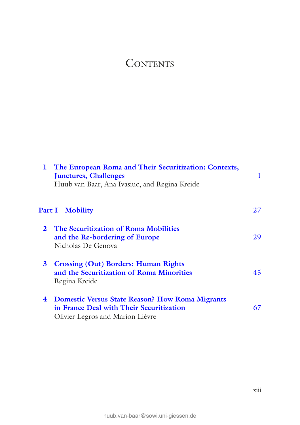# **CONTENTS**

| $\bf{l}$                | The European Roma and Their Securitization: Contexts,<br><b>Junctures, Challenges</b><br>Huub van Baar, Ana Ivasiuc, and Regina Kreide | 1  |
|-------------------------|----------------------------------------------------------------------------------------------------------------------------------------|----|
|                         | <b>Part I</b> Mobility                                                                                                                 | 27 |
|                         | 2 The Securitization of Roma Mobilities<br>and the Re-bordering of Europe<br>Nicholas De Genova                                        | 29 |
| 3                       | <b>Crossing (Out) Borders: Human Rights</b><br>and the Securitization of Roma Minorities<br>Regina Kreide                              | 45 |
| $\overline{\mathbf{4}}$ | <b>Domestic Versus State Reason? How Roma Migrants</b><br>in France Deal with Their Securitization<br>Olivier Legros and Marion Lièvre | 67 |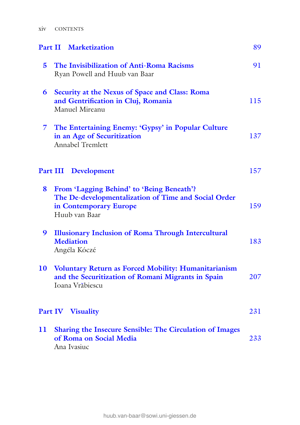|                | <b>Part II Marketization</b>                                                                                                                 | 89  |
|----------------|----------------------------------------------------------------------------------------------------------------------------------------------|-----|
| 5              | The Invisibilization of Anti-Roma Racisms<br>Ryan Powell and Huub van Baar                                                                   | 91  |
| 6              | Security at the Nexus of Space and Class: Roma<br>and Gentrification in Cluj, Romania<br>Manuel Mireanu                                      | 115 |
| $\overline{7}$ | The Entertaining Enemy: 'Gypsy' in Popular Culture<br>in an Age of Securitization<br><b>Annabel Tremlett</b>                                 | 137 |
|                | Part III Development                                                                                                                         | 157 |
| 8              | From 'Lagging Behind' to 'Being Beneath'?<br>The De-developmentalization of Time and Social Order<br>in Contemporary Europe<br>Huub van Baar | 159 |
| 9              | <b>Illusionary Inclusion of Roma Through Intercultural</b><br><b>Mediation</b><br>Angéla Kóczé                                               | 183 |
| 10             | Voluntary Return as Forced Mobility: Humanitarianism<br>and the Securitization of Romani Migrants in Spain<br>Ioana Vrăbiescu                | 207 |
|                | Part IV Visuality                                                                                                                            | 231 |
| 11             | Sharing the Insecure Sensible: The Circulation of Images<br>of Roma on Social Media<br>Ana Ivasiuc                                           | 233 |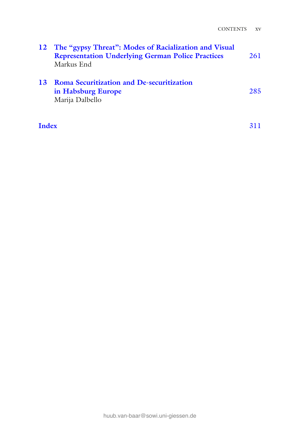|    | 12 The "gypsy Threat": Modes of Racialization and Visual<br><b>Representation Underlying German Police Practices</b><br>Markus End | 261 |
|----|------------------------------------------------------------------------------------------------------------------------------------|-----|
| 13 | <b>Roma Securitization and De-securitization</b><br>in Habsburg Europe<br>Marija Dalbello                                          | 285 |

#### **Index** 311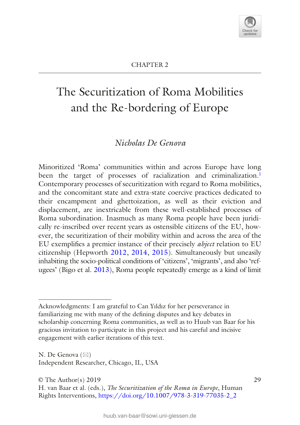<span id="page-5-0"></span>

# The Securitization of Roma Mobilities and the Re-bordering of Europe

# *Nicholas De Genova*

Minoritized 'Roma' communities within and across Europe have long been the target of processes of racialization and criminalization.<sup>1</sup> Contemporary processes of securitization with regard to Roma mobilities, and the concomitant state and extra-state coercive practices dedicated to their encampment and ghettoization, as well as their eviction and displacement, are inextricable from these well-established processes of Roma subordination. Inasmuch as many Roma people have been juridically re-inscribed over recent years as ostensible citizens of the EU, however, the securitization of their mobility within and across the area of the EU exemplifies a premier instance of their precisely *abject* relation to EU citizenship (Hepworth [2012](#page-18-0), [2014](#page-18-1), [2015](#page-18-2)). Simultaneously but uneasily inhabiting the socio-political conditions of 'citizens', 'migrants', and also 'refugees' (Bigo et al. [2013\)](#page-16-0), Roma people repeatedly emerge as a kind of limit

Acknowledgments: I am grateful to Can Yıldız for her perseverance in familiarizing me with many of the defining disputes and key debates in scholarship concerning Roma communities, as well as to Huub van Baar for his gracious invitation to participate in this project and his careful and incisive engagement with earlier iterations of this text.

N. De Genova  $(\boxtimes)$ Independent Researcher, Chicago, IL, USA

 $\oslash$  The Author(s) 2019 29 H. van Baar et al. (eds.), *The Securitization of the Roma in Europe*, Human Rights Interventions, [https://doi.org/10.1007/978-3-319-77035-2\\_2](#page-5-0)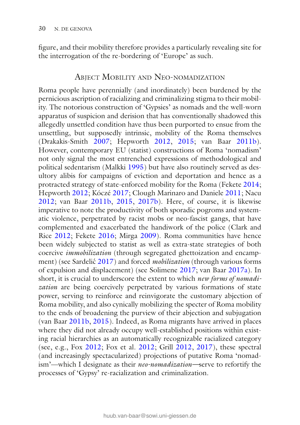figure, and their mobility therefore provides a particularly revealing site for the interrogation of the re-bordering of 'Europe' as such.

# ABJECT MOBILITY AND NEO-NOMADIZATION

Roma people have perennially (and inordinately) been burdened by the pernicious ascription of racializing and criminalizing stigma to their mobility. The notorious construction of 'Gypsies' as nomads and the well-worn apparatus of suspicion and derision that has conventionally shadowed this allegedly unsettled condition have thus been purported to ensue from the unsettling, but supposedly intrinsic, mobility of the Roma themselves (Drakakis-Smith [2007](#page-17-0); Hepworth [2012,](#page-18-0) [2015](#page-18-2); van Baar [2011b](#page-19-0)). However, contemporary EU (statist) constructions of Roma 'nomadism' not only signal the most entrenched expressions of methodological and political sedentarism (Malkki [1995](#page-18-3)) but have also routinely served as desultory alibis for campaigns of eviction and deportation and hence as a protracted strategy of state-enforced mobility for the Roma (Fekete [2014;](#page-17-1) Hepworth [2012](#page-18-0); Kóczé [2017;](#page-18-4) Clough Marinaro and Daniele [2011;](#page-16-1) Nacu [2012](#page-18-5); van Baar [2011b](#page-19-0), [2015,](#page-19-1) [2017b](#page-19-2)). Here, of course, it is likewise imperative to note the productivity of both sporadic pogroms and systematic violence, perpetrated by racist mobs or neo-fascist gangs, that have complemented and exacerbated the handiwork of the police (Clark and Rice [2012;](#page-16-2) Fekete [2016](#page-17-2); Mirga [2009\)](#page-18-6). Roma communities have hence been widely subjected to statist as well as extra-state strategies of both coercive *immobilization* (through segregated ghettoization and encampment) (see Sardelić[2017](#page-19-3)) and forced *mobilization* (through various forms of expulsion and displacement) (see Solimene [2017](#page-19-4); van Baar [2017a](#page-19-5)). In short, it is crucial to underscore the extent to which *new forms of nomadization* are being coercively perpetrated by various formations of state power, serving to reinforce and reinvigorate the customary abjection of Roma mobility, and also cynically mobilizing the specter of Roma mobility to the ends of broadening the purview of their abjection and subjugation (van Baar [2011b,](#page-19-0) [2015\)](#page-19-1). Indeed, as Roma migrants have arrived in places where they did not already occupy well-established positions within existing racial hierarchies as an automatically recognizable racialized category (see, e.g., Fox [2012;](#page-17-3) Fox et al. [2012](#page-17-4); Grill [2012,](#page-17-5) [2017\)](#page-17-6), these spectral (and increasingly spectacularized) projections of putative Roma 'nomadism'—which I designate as their *neo-nomadization—*serve to refortify the processes of 'Gypsy' re-racialization and criminalization.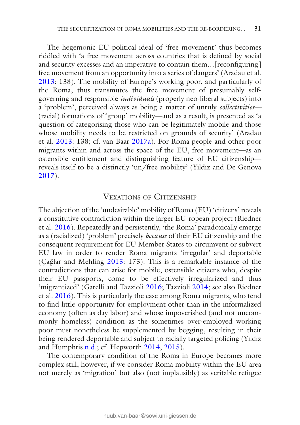The hegemonic EU political ideal of 'free movement' thus becomes riddled with 'a free movement across countries that is defined by social and security excesses and an imperative to contain them…[reconfiguring] free movement from an opportunity into a series of dangers' (Aradau et al. [2013](#page-16-3): 138). The mobility of Europe's working poor, and particularly of the Roma, thus transmutes the free movement of presumably selfgoverning and responsible *individuals* (properly neo-liberal subjects) into a 'problem', perceived always as being a matter of unruly *collectivities—* (racial) formations of 'group' mobility—and as a result, is presented as 'a question of categorising those who can be legitimately mobile and those whose mobility needs to be restricted on grounds of security' (Aradau et al. [2013:](#page-16-3) 138; cf. van Baar [2017a](#page-19-5)). For Roma people and other poor migrants within and across the space of the EU, free movement—as an ostensible entitlement and distinguishing feature of EU citizenship reveals itself to be a distinctly 'un/free mobility' (Yıldız and De Genova [2017](#page-20-0)).

#### Vexations of Citizenship

The abjection of the 'undesirable' mobility of Roma (EU) 'citizens' reveals a constitutive contradiction within the larger EU-ropean project (Riedner et al. [2016\)](#page-18-7). Repeatedly and persistently, 'the Roma' paradoxically emerge as a (racialized) 'problem' precisely *because* of their EU citizenship and the consequent requirement for EU Member States to circumvent or subvert EU law in order to render Roma migrants 'irregular' and deportable (Çağlar and Mehling [2013](#page-16-4): 173). This is a remarkable instance of the contradictions that can arise for mobile, ostensible citizens who, despite their EU passports, come to be effectively irregularized and thus 'migrantized' (Garelli and Tazzioli [2016;](#page-17-7) Tazzioli [2014](#page-19-6); see also Riedner et al. [2016](#page-18-7)). This is particularly the case among Roma migrants, who tend to find little opportunity for employment other than in the informalized economy (often as day labor) and whose impoverished (and not uncommonly homeless) condition as the sometimes over-employed working poor must nonetheless be supplemented by begging, resulting in their being rendered deportable and subject to racially targeted policing (Yıldız and Humphris [n.d.](#page-20-1); cf. Hepworth [2014,](#page-18-1) [2015\)](#page-18-2).

The contemporary condition of the Roma in Europe becomes more complex still, however, if we consider Roma mobility within the EU area not merely as 'migration' but also (not implausibly) as veritable refugee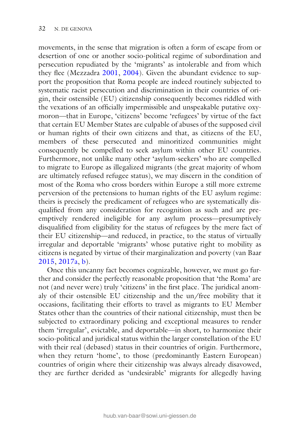movements, in the sense that migration is often a form of escape from or desertion of one or another socio-political regime of subordination and persecution repudiated by the 'migrants' as intolerable and from which they flee (Mezzadra [2001,](#page-18-8) [2004](#page-18-9)). Given the abundant evidence to support the proposition that Roma people are indeed routinely subjected to systematic racist persecution and discrimination in their countries of origin, their ostensible (EU) citizenship consequently becomes riddled with the vexations of an officially impermissible and unspeakable putative oxymoron—that in Europe, 'citizens' become 'refugees' by virtue of the fact that certain EU Member States are culpable of abuses of the supposed civil or human rights of their own citizens and that, as citizens of the EU, members of these persecuted and minoritized communities might consequently be compelled to seek asylum within other EU countries. Furthermore, not unlike many other 'asylum-seekers' who are compelled to migrate to Europe as illegalized migrants (the great majority of whom are ultimately refused refugee status), we may discern in the condition of most of the Roma who cross borders within Europe a still more extreme perversion of the pretensions to human rights of the EU asylum regime: theirs is precisely the predicament of refugees who are systematically disqualified from any consideration for recognition as such and are preemptively rendered ineligible for any asylum process—presumptively disqualified from eligibility for the status of refugees by the mere fact of their EU citizenship—and reduced, in practice, to the status of virtually irregular and deportable 'migrants' whose putative right to mobility as citizens is negated by virtue of their marginalization and poverty (van Baar [2015](#page-19-1), [2017a,](#page-19-5) [b\)](#page-19-2).

Once this uncanny fact becomes cognizable, however, we must go further and consider the perfectly reasonable proposition that 'the Roma' are not (and never were) truly 'citizens' in the first place. The juridical anomaly of their ostensible EU citizenship and the un/free mobility that it occasions, facilitating their efforts to travel as migrants to EU Member States other than the countries of their national citizenship, must then be subjected to extraordinary policing and exceptional measures to render them 'irregular', evictable, and deportable—in short, to harmonize their socio-political and juridical status within the larger constellation of the EU with their real (debased) status in their countries of origin. Furthermore, when they return 'home', to those (predominantly Eastern European) countries of origin where their citizenship was always already disavowed, they are further derided as 'undesirable' migrants for allegedly having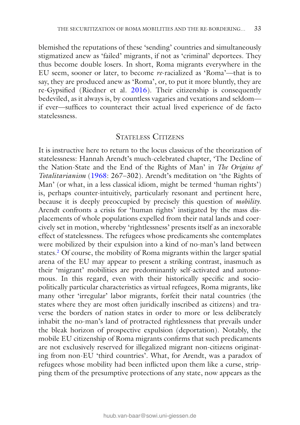blemished the reputations of these 'sending' countries and simultaneously stigmatized anew as 'failed' migrants, if not as 'criminal' deportees. They thus become double losers. In short, Roma migrants everywhere in the EU seem, sooner or later, to become *re*-racialized as 'Roma'—that is to say, they are produced anew as 'Roma', or, to put it more bluntly, they are re-Gypsified (Riedner et al. [2016\)](#page-18-7). Their citizenship is consequently bedeviled, as it always is, by countless vagaries and vexations and seldom if ever—suffices to counteract their actual lived experience of de facto statelessness.

### STATELESS CITIZENS

It is instructive here to return to the locus classicus of the theorization of statelessness: Hannah Arendt's much-celebrated chapter, 'The Decline of the Nation-State and the End of the Rights of Man' in *The Origins of Totalitarianism* [\(1968](#page-16-5): 267–302). Arendt's meditation on 'the Rights of Man' (or what, in a less classical idiom, might be termed 'human rights') is, perhaps counter-intuitively, particularly resonant and pertinent here, because it is deeply preoccupied by precisely this question of *mobility*. Arendt confronts a crisis for 'human rights' instigated by the mass displacements of whole populations expelled from their natal lands and coercively set in motion, whereby 'rightlessness' presents itself as an inexorable effect of statelessness. The refugees whose predicaments she contemplates were mobilized by their expulsion into a kind of no-man's land between states.[2](#page-15-1) Of course, the mobility of Roma migrants within the larger spatial arena of the EU may appear to present a striking contrast, inasmuch as their 'migrant' mobilities are predominantly self-activated and autonomous. In this regard, even with their historically specific and sociopolitically particular characteristics as virtual refugees, Roma migrants, like many other 'irregular' labor migrants, forfeit their natal countries (the states where they are most often juridically inscribed as citizens) and traverse the borders of nation states in order to more or less deliberately inhabit the no-man's land of protracted rightlessness that prevails under the bleak horizon of prospective expulsion (deportation). Notably, the mobile EU citizenship of Roma migrants confirms that such predicaments are not exclusively reserved for illegalized migrant non-citizens originating from non-EU 'third countries'. What, for Arendt, was a paradox of refugees whose mobility had been inflicted upon them like a curse, stripping them of the presumptive protections of any state, now appears as the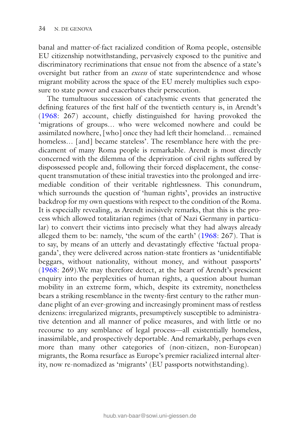banal and matter-of-fact racialized condition of Roma people, ostensible EU citizenship notwithstanding, pervasively exposed to the punitive and discriminatory recriminations that ensue not from the absence of a state's oversight but rather from an *excess* of state superintendence and whose migrant mobility across the space of the EU merely multiplies such exposure to state power and exacerbates their persecution.

The tumultuous succession of cataclysmic events that generated the defining features of the first half of the twentieth century is, in Arendt's ([1968](#page-16-5): 267) account, chiefly distinguished for having provoked the 'migrations of groups… who were welcomed nowhere and could be assimilated nowhere, [who] once they had left their homeland… remained homeless... [and] became stateless'. The resemblance here with the predicament of many Roma people is remarkable. Arendt is most directly concerned with the dilemma of the deprivation of civil rights suffered by dispossessed people and, following their forced displacement, the consequent transmutation of these initial travesties into the prolonged and irremediable condition of their veritable rightlessness. This conundrum, which surrounds the question of 'human rights', provides an instructive backdrop for my own questions with respect to the condition of the Roma. It is especially revealing, as Arendt incisively remarks, that this is the process which allowed totalitarian regimes (that of Nazi Germany in particular) to convert their victims into precisely what they had always already alleged them to be: namely, 'the scum of the earth' [\(1968:](#page-16-5) 267). That is to say, by means of an utterly and devastatingly effective 'factual propaganda', they were delivered across nation-state frontiers as 'unidentifiable beggars, without nationality, without money, and without passports' ([1968](#page-16-5): 269).We may therefore detect, at the heart of Arendt's prescient enquiry into the perplexities of human rights, a question about human mobility in an extreme form, which, despite its extremity, nonetheless bears a striking resemblance in the twenty-first century to the rather mundane plight of an ever-growing and increasingly prominent mass of restless denizens: irregularized migrants, presumptively susceptible to administrative detention and all manner of police measures, and with little or no recourse to any semblance of legal process—all existentially homeless, inassimilable, and prospectively deportable. And remarkably, perhaps even more than many other categories of (non-citizen, non-European) migrants, the Roma resurface as Europe's premier racialized internal alterity, now re-nomadized as 'migrants' (EU passports notwithstanding).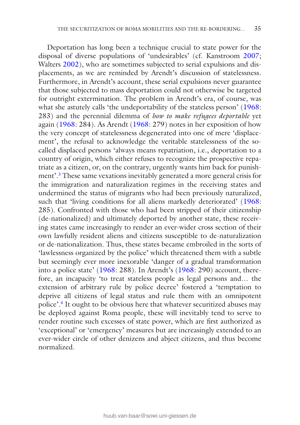Deportation has long been a technique crucial to state power for the disposal of diverse populations of 'undesirables' (cf. Kanstroom [2007;](#page-18-10) Walters [2002](#page-19-7)), who are sometimes subjected to serial expulsions and displacements, as we are reminded by Arendt's discussion of statelessness. Furthermore, in Arendt's account, these serial expulsions never guarantee that those subjected to mass deportation could not otherwise be targeted for outright extermination. The problem in Arendt's era, of course, was what she astutely calls 'the undeportability of the stateless person' [\(1968:](#page-16-5) 283) and the perennial dilemma of *how to make refugees deportable* yet again ([1968](#page-16-5): 284). As Arendt ([1968](#page-16-5): 279) notes in her exposition of how the very concept of statelessness degenerated into one of mere 'displacement', the refusal to acknowledge the veritable statelessness of the socalled displaced persons 'always means repatriation, i.e., deportation to a country of origin, which either refuses to recognize the prospective repatriate as a citizen, or, on the contrary, urgently wants him back for punishment'.[3](#page-16-6) These same vexations inevitably generated a more general crisis for the immigration and naturalization regimes in the receiving states and undermined the status of migrants who had been previously naturalized, such that 'living conditions for all aliens markedly deteriorated' [\(1968:](#page-16-5) 285). Confronted with those who had been stripped of their citizenship (de-nationalized) and ultimately deported by another state, these receiving states came increasingly to render an ever-wider cross section of their own lawfully resident aliens and citizens susceptible to de-naturalization or de-nationalization. Thus, these states became embroiled in the sorts of 'lawlessness organized by the police' which threatened them with a subtle but seemingly ever more inexorable 'danger of a gradual transformation into a police state' ([1968](#page-16-5): 288). In Arendt's [\(1968:](#page-16-5) 290) account, therefore, an incapacity 'to treat stateless people as legal persons and… the extension of arbitrary rule by police decree' fostered a 'temptation to deprive all citizens of legal status and rule them with an omnipotent police'.[4](#page-16-7) It ought to be obvious here that whatever securitized abuses may be deployed against Roma people, these will inevitably tend to serve to render routine such excesses of state power, which are first authorized as 'exceptional' or 'emergency' measures but are increasingly extended to an ever-wider circle of other denizens and abject citizens, and thus become normalized.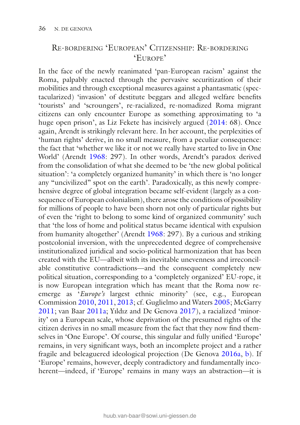# Re-bordering 'European' Citizenship: Re-bordering 'Europe'

In the face of the newly reanimated 'pan-European racism' against the Roma, palpably enacted through the pervasive securitization of their mobilities and through exceptional measures against a phantasmatic (spectacularized) 'invasion' of destitute beggars and alleged welfare benefits 'tourists' and 'scroungers', re-racialized, re-nomadized Roma migrant citizens can only encounter Europe as something approximating to 'a huge open prison', as Liz Fekete has incisively argued ([2014](#page-17-1): 68). Once again, Arendt is strikingly relevant here. In her account, the perplexities of 'human rights' derive, in no small measure, from a peculiar consequence: the fact that 'whether we like it or not we really have started to live in One World' (Arendt [1968](#page-16-5): 297). In other words, Arendt's paradox derived from the consolidation of what she deemed to be 'the new global political situation': 'a completely organized humanity' in which there is 'no longer any "uncivilized" spot on the earth'. Paradoxically, as this newly comprehensive degree of global integration became self-evident (largely as a consequence of European colonialism), there arose the conditions of possibility for millions of people to have been shorn not only of particular rights but of even the 'right to belong to some kind of organized community' such that 'the loss of home and political status became identical with expulsion from humanity altogether' (Arendt [1968](#page-16-5): 297). By a curious and striking postcolonial inversion, with the unprecedented degree of comprehensive institutionalized juridical and socio-political harmonization that has been created with the EU—albeit with its inevitable unevenness and irreconcilable constitutive contradictions—and the consequent completely new political situation, corresponding to a 'completely organized' EU-rope, it is now European integration which has meant that the Roma now reemerge as '*Europe's* largest ethnic minority' (see, e.g., European Commission [2010,](#page-17-8) [2011](#page-17-9), [2013;](#page-17-10) cf. Guglielmo and Waters [2005](#page-18-11); McGarry [2011](#page-18-12); van Baar [2011a](#page-19-8); Yıldız and De Genova [2017\)](#page-20-0), a racialized 'minority' on a European scale, whose deprivation of the presumed rights of the citizen derives in no small measure from the fact that they now find themselves in 'One Europe'. Of course, this singular and fully unified 'Europe' remains, in very significant ways, both an incomplete project and a rather fragile and beleaguered ideological projection (De Genova [2016a,](#page-16-8) [b\)](#page-17-11). If 'Europe' remains, however, deeply contradictory and fundamentally incoherent—indeed, if 'Europe' remains in many ways an abstraction—it is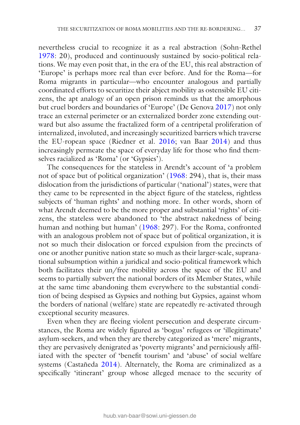nevertheless crucial to recognize it as a real abstraction (Sohn-Rethel [1978](#page-19-9): 20), produced and continuously sustained by socio-political relations. We may even posit that, in the era of the EU, this real abstraction of 'Europe' is perhaps more real than ever before. And for the Roma—for Roma migrants in particular—who encounter analogous and partially coordinated efforts to securitize their abject mobility as ostensible EU citizens, the apt analogy of an open prison reminds us that the amorphous but cruel borders and boundaries of 'Europe' (De Genova [2017\)](#page-17-12) not only trace an external perimeter or an externalized border zone extending outward but also assume the fractalized form of a centripetal proliferation of internalized, involuted, and increasingly securitized barriers which traverse the EU-ropean space (Riedner et al. [2016;](#page-18-7) van Baar [2014](#page-19-10)) and thus increasingly permeate the space of everyday life for those who find themselves racialized as 'Roma' (or 'Gypsies').

The consequences for the stateless in Arendt's account of 'a problem not of space but of political organization' ([1968](#page-16-5): 294), that is, their mass dislocation from the jurisdictions of particular ('national') states, were that they came to be represented in the abject figure of the stateless, rightless subjects of 'human rights' and nothing more. In other words, shorn of what Arendt deemed to be the more proper and substantial 'rights' of citizens, the stateless were abandoned to 'the abstract nakedness of being human and nothing but human' ([1968:](#page-16-5) 297). For the Roma, confronted with an analogous problem not of space but of political organization, it is not so much their dislocation or forced expulsion from the precincts of one or another punitive nation state so much as their larger-scale, supranational subsumption within a juridical and socio-political framework which both facilitates their un/free mobility across the space of the EU and seems to partially subvert the national borders of its Member States, while at the same time abandoning them everywhere to the substantial condition of being despised as Gypsies and nothing but Gypsies, against whom the borders of national (welfare) state are repeatedly re-activated through exceptional security measures.

Even when they are fleeing violent persecution and desperate circumstances, the Roma are widely figured as 'bogus' refugees or 'illegitimate' asylum-seekers, and when they are thereby categorized as 'mere' migrants, they are pervasively denigrated as 'poverty migrants' and perniciously affiliated with the specter of 'benefit tourism' and 'abuse' of social welfare systems (Castañeda [2014](#page-16-9)). Alternately, the Roma are criminalized as a specifically 'itinerant' group whose alleged menace to the security of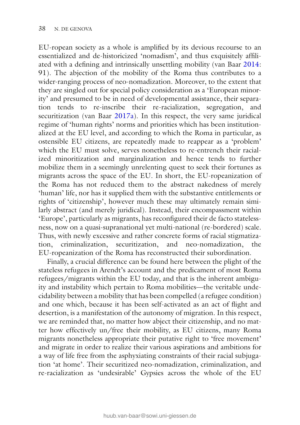EU-ropean society as a whole is amplified by its devious recourse to an essentialized and de-historicized 'nomadism', and thus exquisitely affiliated with a defining and intrinsically unsettling mobility (van Baar [2014:](#page-19-10) 91). The abjection of the mobility of the Roma thus contributes to a wider-ranging process of neo-nomadization. Moreover, to the extent that they are singled out for special policy consideration as a 'European minority' and presumed to be in need of developmental assistance, their separation tends to re-inscribe their re-racialization, segregation, and securitization (van Baar [2017a\)](#page-19-5). In this respect, the very same juridical regime of 'human rights' norms and priorities which has been institutionalized at the EU level, and according to which the Roma in particular, as ostensible EU citizens, are repeatedly made to reappear as a 'problem' which the EU must solve, serves nonetheless to re-entrench their racialized minoritization and marginalization and hence tends to further mobilize them in a seemingly unrelenting quest to seek their fortunes as migrants across the space of the EU. In short, the EU-ropeanization of the Roma has not reduced them to the abstract nakedness of merely 'human' life, nor has it supplied them with the substantive entitlements or rights of 'citizenship', however much these may ultimately remain similarly abstract (and merely juridical). Instead, their encompassment within 'Europe', particularly as migrants, has reconfigured their de facto statelessness, now on a quasi-supranational yet multi-national (re-bordered) scale. Thus, with newly excessive and rather concrete forms of racial stigmatization, criminalization, securitization, and neo-nomadization, the EU-ropeanization of the Roma has reconstructed their subordination.

Finally, a crucial difference can be found here between the plight of the stateless refugees in Arendt's account and the predicament of most Roma refugees/migrants within the EU today, and that is the inherent ambiguity and instability which pertain to Roma mobilities—the veritable undecidability between a mobility that has been compelled (a refugee condition) and one which, because it has been self-activated as an act of flight and desertion, is a manifestation of the autonomy of migration. In this respect, we are reminded that, no matter how abject their citizenship, and no matter how effectively un/free their mobility, as EU citizens, many Roma migrants nonetheless appropriate their putative right to 'free movement' and migrate in order to realize their various aspirations and ambitions for a way of life free from the asphyxiating constraints of their racial subjugation 'at home'. Their securitized neo-nomadization, criminalization, and re-racialization as 'undesirable' Gypsies across the whole of the EU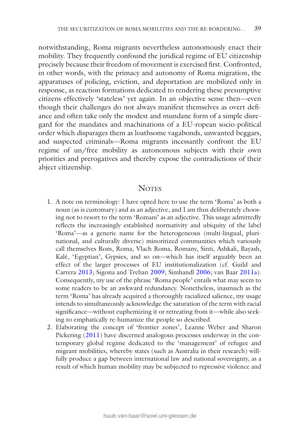notwithstanding, Roma migrants nevertheless autonomously enact their mobility. They frequently confound the juridical regime of EU citizenship precisely because their freedom of movement is exercised first. Confronted, in other words, with the primacy and autonomy of Roma migration, the apparatuses of policing, eviction, and deportation are mobilized only in response, as reaction formations dedicated to rendering these presumptive citizens effectively 'stateless' yet again. In an objective sense then—even though their challenges do not always manifest themselves as overt defiance and often take only the modest and mundane form of a simple disregard for the mandates and machinations of a EU-ropean socio-political order which disparages them as loathsome vagabonds, unwanted beggars, and suspected criminals—Roma migrants incessantly confront the EU regime of un/free mobility as autonomous subjects with their own priorities and prerogatives and thereby expose the contradictions of their abject citizenship.

## **NOTES**

- <span id="page-15-0"></span>1. A note on terminology: I have opted here to use the term 'Roma' as both a noun (as is customary) and as an adjective, and I am thus deliberately choosing not to resort to the term 'Romani' as an adjective. This usage admittedly reflects the increasingly established normativity and ubiquity of the label 'Roma'—as a generic name for the heterogeneous (multi-lingual, plurinational, and culturally diverse) minoritized communities which variously call themselves Rom, Roma, Vlach Roma, Romany, Sinti, Ashkali, Bayash, Kalé, 'Egyptian', Gypsies, and so on—which has itself arguably been an effect of the larger processes of EU institutionalization (cf. Guild and Carrera [2013](#page-18-13); Sigona and Trehan [2009](#page-19-11); Simhandl [2006;](#page-19-12) van Baar [2011a\)](#page-19-8). Consequently, my use of the phrase 'Roma people' entails what may seem to some readers to be an awkward redundancy. Nonetheless, inasmuch as the term 'Roma' has already acquired a thoroughly racialized salience, my usage intends to simultaneously acknowledge the saturation of the term with racial significance—without euphemizing it or retreating from it—while also seeking to emphatically re-humanize the people so described.
- <span id="page-15-1"></span>2. Elaborating the concept of 'frontier zones', Leanne Weber and Sharon Pickering ([2011\)](#page-19-13) have discerned analogous processes underway in the contemporary global regime dedicated to the 'management' of refugee and migrant mobilities, whereby states (such as Australia in their research) willfully produce a gap between international law and national sovereignty, as a result of which human mobility may be subjected to repressive violence and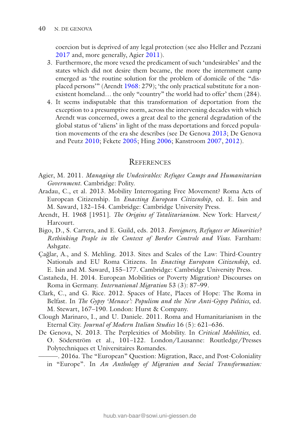<span id="page-16-6"></span>coercion but is deprived of any legal protection (see also Heller and Pezzani [2017](#page-18-14) and, more generally, Agier [2011](#page-16-10)).

- 3. Furthermore, the more vexed the predicament of such 'undesirables' and the states which did not desire them became, the more the internment camp emerged as 'the routine solution for the problem of domicile of the "displaced persons'" (Arendt [1968:](#page-16-5) 279); 'the only practical substitute for a nonexistent homeland… the only "country" the world had to offer' them (284).
- <span id="page-16-7"></span>4. It seems indisputable that this transformation of deportation from the exception to a presumptive norm, across the intervening decades with which Arendt was concerned, owes a great deal to the general degradation of the global status of 'aliens' in light of the mass deportations and forced population movements of the era she describes (see De Genova [2013](#page-16-11); De Genova and Peutz [2010](#page-17-13); Fekete [2005;](#page-17-14) Hing [2006;](#page-18-15) Kanstroom [2007](#page-18-10), [2012](#page-18-16)).

## **REFERENCES**

- <span id="page-16-10"></span>Agier, M. 2011. *Managing the Undesirables: Refugee Camps and Humanitarian Government*. Cambridge: Polity.
- <span id="page-16-3"></span>Aradau, C., et al. 2013. Mobility Interrogating Free Movement? Roma Acts of European Citizenship. In *Enacting European Citizenship*, ed. E. Isin and M. Saward, 132–154. Cambridge: Cambridge University Press.
- <span id="page-16-5"></span>Arendt, H. 1968 [1951]. *The Origins of Totalitarianism*. New York: Harvest/ Harcourt.
- <span id="page-16-0"></span>Bigo, D., S. Carrera, and E. Guild, eds. 2013. *Foreigners, Refugees or Minorities? Rethinking People in the Context of Border Controls and Visas*. Farnham: Ashgate.
- <span id="page-16-4"></span>Çağlar, A., and S. Mehling. 2013. Sites and Scales of the Law: Third-Country Nationals and EU Roma Citizens. In *Enacting European Citizenship*, ed. E. Isin and M. Saward, 155–177. Cambridge: Cambridge University Press.
- <span id="page-16-9"></span>Castañeda, H. 2014. European Mobilities or Poverty Migration? Discourses on Roma in Germany. *International Migration* 53 (3): 87–99.
- <span id="page-16-2"></span>Clark, C., and G. Rice. 2012. Spaces of Hate, Places of Hope: The Roma in Belfast. In *The Gypsy 'Menace': Populism and the New Anti-Gypsy Politics*, ed. M. Stewart, 167–190. London: Hurst & Company.
- <span id="page-16-1"></span>Clough Marinaro, I., and U. Daniele. 2011. Roma and Humanitarianism in the Eternal City. *Journal of Modern Italian Studies* 16 (5): 621–636.
- <span id="page-16-11"></span><span id="page-16-8"></span>De Genova, N. 2013. The Perplexities of Mobility. In *Critical Mobilities*, ed. O. Söderström et al., 101–122. London/Lausanne: Routledge/Presses Polytechniques et Universitaires Romandes.
	- ———. 2016a. The "European" Question: Migration, Race, and Post-Coloniality in "Europe". In *An Anthology of Migration and Social Transformation:*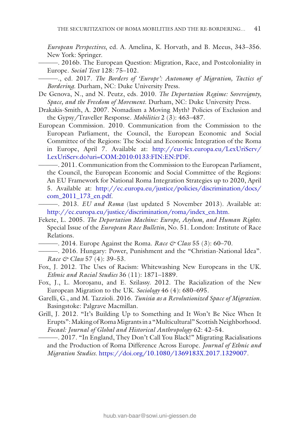*European Perspectives*, ed. A. Amelina, K. Horvath, and B. Meeus, 343–356. New York: Springer.

<span id="page-17-11"></span>———. 2016b. The European Question: Migration, Race, and Postcoloniality in Europe. *Social Text* 128: 75–102.

<span id="page-17-12"></span>———., ed. 2017. *The Borders of 'Europe': Autonomy of Migration, Tactics of Bordering*. Durham, NC: Duke University Press.

- <span id="page-17-13"></span>De Genova, N., and N. Peutz, eds. 2010. *The Deportation Regime: Sovereignty, Space, and the Freedom of Movement*. Durham, NC: Duke University Press.
- <span id="page-17-0"></span>Drakakis-Smith, A. 2007. Nomadism a Moving Myth? Policies of Exclusion and the Gypsy/Traveller Response. *Mobilities* 2 (3): 463–487.
- <span id="page-17-8"></span>European Commission. 2010. Communication from the Commission to the European Parliament, the Council, the European Economic and Social Committee of the Regions: The Social and Economic Integration of the Roma in Europe, April 7. Available at: [http://eur-lex.europa.eu/LexUriServ/](http://eur-lex.europa.eu/LexUriServ/LexUriServ.do?uri=COM:2010:0133:FIN:EN:PDF>) [LexUriServ.do?uri=COM:2010:0133:FIN:EN:PDF](http://eur-lex.europa.eu/LexUriServ/LexUriServ.do?uri=COM:2010:0133:FIN:EN:PDF>).

<span id="page-17-9"></span>———. 2011. Communication from the Commission to the European Parliament, the Council, the European Economic and Social Committee of the Regions: An EU Framework for National Roma Integration Strategies up to 2020, April 5. Available at: [http://ec.europa.eu/justice/policies/discrimination/docs/](http://ec.europa.eu/justice/policies/discrimination/docs/com_2011_173_en.pdf>) [com\\_2011\\_173\\_en.pdf](http://ec.europa.eu/justice/policies/discrimination/docs/com_2011_173_en.pdf>).

- <span id="page-17-10"></span>———. 2013. *EU and Roma* (last updated 5 November 2013). Available at: [http://ec.europa.eu/justice/discrimination/roma/index\\_en.htm.](http://ec.europa.eu/justice/discrimination/roma/index_en.htm>)
- <span id="page-17-14"></span><span id="page-17-1"></span>Fekete, L. 2005. *The Deportation Machine: Europe, Asylum, and Human Rights*. Special Issue of the *European Race Bulletin*, No. 51. London: Institute of Race Relations.
	- ———. 2014. Europe Against the Roma. *Race & Class* 55 (3): 60–70.
	- ———. 2016. Hungary: Power, Punishment and the "Christian-National Idea". *Race & Class* 57 (4): 39–53.
- <span id="page-17-3"></span><span id="page-17-2"></span>Fox, J. 2012. The Uses of Racism: Whitewashing New Europeans in the UK. *Ethnic and Racial Studies* 36 (11): 1871–1889.
- <span id="page-17-4"></span>Fox, J., L. Moroşanu, and E. Szilassy. 2012. The Racialization of the New European Migration to the UK. *Sociology* 46 (4): 680–695.
- <span id="page-17-7"></span>Garelli, G., and M. Tazzioli. 2016. *Tunisia as a Revolutionized Space of Migration*. Basingstoke: Palgrave Macmillan.
- <span id="page-17-5"></span>Grill, J. 2012. "It's Building Up to Something and It Won't Be Nice When It Erupts": Making of Roma Migrants in a "Multicultural" Scottish Neighborhood. *Focaal: Journal of Global and Historical Anthropology* 62: 42–54.

<span id="page-17-6"></span>———. 2017. "In England, They Don't Call You Black!" Migrating Racialisations and the Production of Roma Difference Across Europe. *Journal of Ethnic and Migration Studies*. [https://doi.org/10.1080/1369183X.2017.1329007.](https://doi.org/10.1080/1369183X.2017.1329007)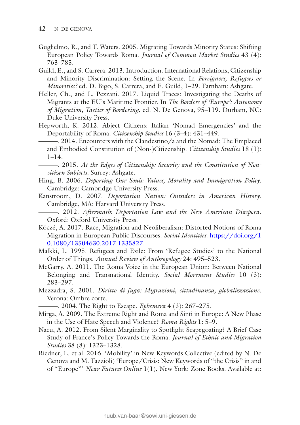- <span id="page-18-11"></span>Guglielmo, R., and T. Waters. 2005. Migrating Towards Minority Status: Shifting European Policy Towards Roma. *Journal of Common Market Studies* 43 (4): 763–785.
- <span id="page-18-13"></span>Guild, E., and S. Carrera. 2013. Introduction. International Relations, Citizenship and Minority Discrimination: Setting the Scene. In *Foreigners, Refugees or Minorities?* ed. D. Bigo, S. Carrera, and E. Guild, 1–29. Farnham: Ashgate.
- <span id="page-18-14"></span>Heller, Ch., and L. Pezzani. 2017. Liquid Traces: Investigating the Deaths of Migrants at the EU's Maritime Frontier. In *The Borders of 'Europe': Autonomy of Migration, Tactics of Bordering*, ed. N. De Genova, 95–119. Durham, NC: Duke University Press.
- <span id="page-18-0"></span>Hepworth, K. 2012. Abject Citizens: Italian 'Nomad Emergencies' and the Deportability of Roma. *Citizenship Studies* 16 (3–4): 431–449.

<span id="page-18-1"></span>———. 2014. Encounters with the Clandestino/a and the Nomad: The Emplaced and Embodied Constitution of (Non-)Citizenship. *Citizenship Studies* 18 (1): 1–14.

<span id="page-18-2"></span>———. 2015. *At the Edges of Citizenship: Security and the Constitution of Noncitizen Subjects*. Surrey: Ashgate.

- <span id="page-18-15"></span>Hing, B. 2006. *Deporting Our Souls: Values, Morality and Immigration Policy*. Cambridge: Cambridge University Press.
- <span id="page-18-10"></span>Kanstroom, D. 2007. *Deportation Nation: Outsiders in American History*. Cambridge, MA: Harvard University Press.

<span id="page-18-16"></span>———. 2012. *Aftermath: Deportation Law and the New American Diaspora*. Oxford: Oxford University Press.

- <span id="page-18-4"></span>Kóczé, A. 2017. Race, Migration and Neoliberalism: Distorted Notions of Roma Migration in European Public Discourses. *Social Identities*. [https://doi.org/1](https://doi.org/10.1080/13504630.2017.1335827) [0.1080/13504630.2017.1335827](https://doi.org/10.1080/13504630.2017.1335827).
- <span id="page-18-3"></span>Malkki, L. 1995. Refugees and Exile: From 'Refugee Studies' to the National Order of Things. *Annual Review of Anthropology* 24: 495–523.
- <span id="page-18-12"></span>McGarry, A. 2011. The Roma Voice in the European Union: Between National Belonging and Transnational Identity. *Social Movement Studies* 10 (3): 283–297.
- <span id="page-18-8"></span>Mezzadra, S. 2001. *Diritto di fuga: Migrazioni, cittadinanza, globalizzazione*. Verona: Ombre corte.

———. 2004. The Right to Escape. *Ephemera* 4 (3): 267–275.

- <span id="page-18-9"></span><span id="page-18-6"></span>Mirga, A. 2009. The Extreme Right and Roma and Sinti in Europe: A New Phase in the Use of Hate Speech and Violence? *Roma Rights* 1: 5–9.
- <span id="page-18-5"></span>Nacu, A. 2012. From Silent Marginality to Spotlight Scapegoating? A Brief Case Study of France's Policy Towards the Roma. *Journal of Ethnic and Migration Studies* 38 (8): 1323–1328.
- <span id="page-18-7"></span>Riedner, L. et al*.* 2016. 'Mobility' in New Keywords Collective (edited by N. De Genova and M. Tazzioli) 'Europe/Crisis: New Keywords of "the Crisis" in and of "Europe"' *Near Futures Online* 1(1), New York: Zone Books. Available at: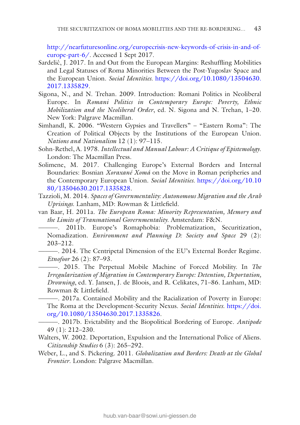[http://nearfuturesonline.org/europecrisis-new-keywords-of-crisis-in-and-of](http://nearfuturesonline.org/europecrisis-new-keywords-of-crisis-in-and-of-europe-part-6/)[europe-part-6/](http://nearfuturesonline.org/europecrisis-new-keywords-of-crisis-in-and-of-europe-part-6/). Accessed 1 Sept 2017.

- <span id="page-19-3"></span>Sardelić, J. 2017. In and Out from the European Margins: Reshuffling Mobilities and Legal Statuses of Roma Minorities Between the Post-Yugoslav Space and the European Union. *Social Identities*. [https://doi.org/10.1080/13504630.](https://doi.org/10.1080/13504630.2017.1335829) [2017.1335829.](https://doi.org/10.1080/13504630.2017.1335829)
- <span id="page-19-11"></span>Sigona, N., and N. Trehan. 2009. Introduction: Romani Politics in Neoliberal Europe. In *Romani Politics in Contemporary Europe: Poverty, Ethnic Mobilization and the Neoliberal Order*, ed. N. Sigona and N. Trehan, 1–20. New York: Palgrave Macmillan.
- <span id="page-19-12"></span>Simhandl, K. 2006. "Western Gypsies and Travellers" – "Eastern Roma": The Creation of Political Objects by the Institutions of the European Union. *Nations and Nationalism* 12 (1): 97–115.
- <span id="page-19-9"></span>Sohn-Rethel, A. 1978. *Intellectual and Manual Labour: A Critique of Epistemology*. London: The Macmillan Press.
- <span id="page-19-4"></span>Solimene, M. 2017. Challenging Europe's External Borders and Internal Boundaries: Bosnian *Xoraxané Xomá* on the Move in Roman peripheries and the Contemporary European Union. *Social Identities*. [https://doi.org/10.10](https://doi.org/10.1080/13504630.2017.1335828) [80/13504630.2017.1335828](https://doi.org/10.1080/13504630.2017.1335828).
- <span id="page-19-6"></span>Tazzioli, M. 2014. *Spaces of Governmentality: Autonomous Migration and the Arab Uprisings*. Lanham, MD: Rowman & Littlefield.
- <span id="page-19-8"></span>van Baar, H. 2011a. *The European Roma: Minority Representation, Memory and the Limits of Transnational Governmentality*. Amsterdam: F&N.
- <span id="page-19-10"></span><span id="page-19-0"></span>———. 2011b. Europe's Romaphobia: Problematization, Securitization, Nomadization. *Environment and Planning D: Society and Space* 29 (2): 203–212.
	- ———. 2014. The Centripetal Dimension of the EU's External Border Regime. *Etnofoor* 26 (2): 87–93.
	- ———. 2015. The Perpetual Mobile Machine of Forced Mobility. In *The Irregularization of Migration in Contemporary Europe: Detention, Deportation, Drowning*, ed. Y. Jansen, J. de Bloois, and R. Celikates, 71–86. Lanham, MD: Rowman & Littlefield.

<span id="page-19-5"></span><span id="page-19-1"></span>———. 2017a. Contained Mobility and the Racialization of Poverty in Europe: The Roma at the Development-Security Nexus. *Social Identities*. [https://doi.](https://doi.org/10.1080/13504630.2017.1335826) [org/10.1080/13504630.2017.1335826](https://doi.org/10.1080/13504630.2017.1335826).

<span id="page-19-2"></span>———. 2017b. Evictability and the Biopolitical Bordering of Europe. *Antipode* 49 (1): 212–230.

- <span id="page-19-7"></span>Walters, W. 2002. Deportation, Expulsion and the International Police of Aliens. *Citizenship Studies* 6 (3): 265–292.
- <span id="page-19-13"></span>Weber, L., and S. Pickering. 2011. *Globalization and Borders: Death at the Global Frontier*. London: Palgrave Macmillan.